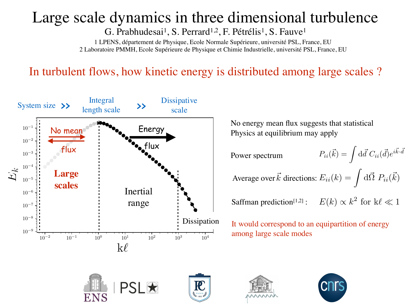## Large scale dynamics in three dimensional turbulence

G. Prabhudesai<sup>1</sup>, S. Perrard<sup>1,2</sup>, F. Pétrélis<sup>1</sup>, S. Fauve<sup>1</sup>

1 LPENS, département de Physique, Ecole Normale Supérieure, université PSL, France, EU 2 Laboratoire PMMH, Ecole Supérieure de Physique et Chimie Industrielle, université PSL, France, EU

## In turbulent flows, how kinetic energy is distributed among large scales ?



No energy mean flux suggests that statistical Physics at equilibrium may apply

 $P_{ii}(\vec{k}) = \int d\vec{d}~ C_{ii}(\vec{d})e^{i\vec{k}\cdot\vec{d}}$ 

Average over  $\vec{k}$  directions:  $E_{ii}(k) = \int d\vec{\Omega} P_{ii}(\vec{k})$ 

Saffman prediction<sup>[1,2]</sup>:  $E(k) \propto k^2$  for k $\ell \ll 1$ 

It would correspond to an equipartition of energy